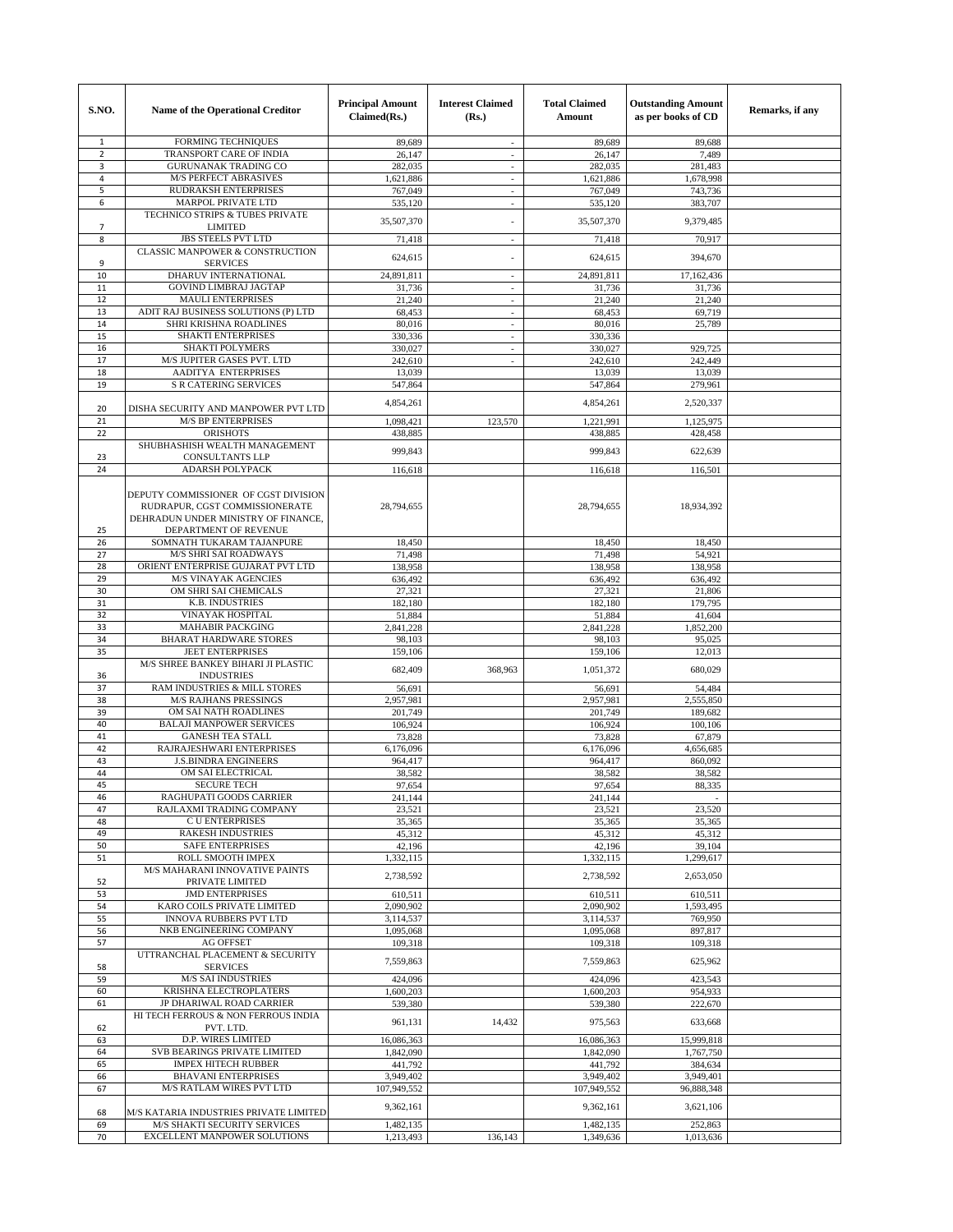| S.NO.          | Name of the Operational Creditor                                       | <b>Principal Amount</b><br>Claimed(Rs.) | <b>Interest Claimed</b><br>(Rs.) | <b>Total Claimed</b><br>Amount | <b>Outstanding Amount</b><br>as per books of CD | Remarks, if any |
|----------------|------------------------------------------------------------------------|-----------------------------------------|----------------------------------|--------------------------------|-------------------------------------------------|-----------------|
| 1              | <b>FORMING TECHNIQUES</b>                                              | 89,689                                  | ÷.                               | 89,689                         | 89,688                                          |                 |
| $\overline{2}$ | TRANSPORT CARE OF INDIA                                                | 26,147                                  | $\overline{\phantom{a}}$         | 26,147                         | 7,489                                           |                 |
| 3              | <b>GURUNANAK TRADING CO</b>                                            | 282,035                                 | ÷,                               | 282,035                        | 281.483                                         |                 |
| 4<br>5         | <b>M/S PERFECT ABRASIVES</b><br><b>RUDRAKSH ENTERPRISES</b>            | 1,621,886                               | ÷,<br>÷,                         | 1,621,886<br>767,049           | 1,678,998                                       |                 |
| 6              | <b>MARPOL PRIVATE LTD</b>                                              | 767,049<br>535,120                      | $\overline{\phantom{a}}$         | 535,120                        | 743,736<br>383,707                              |                 |
|                | TECHNICO STRIPS & TUBES PRIVATE                                        |                                         |                                  |                                |                                                 |                 |
| 7              | <b>LIMITED</b>                                                         | 35,507,370                              |                                  | 35,507,370                     | 9,379,485                                       |                 |
| 8              | <b>JBS STEELS PVT LTD</b>                                              | 71,418                                  | ÷,                               | 71,418                         | 70,917                                          |                 |
|                | <b>CLASSIC MANPOWER &amp; CONSTRUCTION</b>                             | 624,615                                 |                                  | 624,615                        | 394,670                                         |                 |
| 9              | <b>SERVICES</b><br>DHARUV INTERNATIONAL                                |                                         |                                  |                                |                                                 |                 |
| 10<br>11       | <b>GOVIND LIMBRAJ JAGTAP</b>                                           | 24,891,811<br>31,736                    | $\overline{\phantom{a}}$         | 24,891,811<br>31,736           | 17,162,436<br>31,736                            |                 |
| 12             | <b>MAULI ENTERPRISES</b>                                               | 21,240                                  | ÷,                               | 21,240                         | 21,240                                          |                 |
| 13             | ADIT RAJ BUSINESS SOLUTIONS (P) LTD                                    | 68,453                                  | $\overline{\phantom{a}}$         | 68,453                         | 69,719                                          |                 |
| 14             | SHRI KRISHNA ROADLINES                                                 | 80,016                                  | ÷,                               | 80,016                         | 25,789                                          |                 |
| 15             | <b>SHAKTI ENTERPRISES</b>                                              | 330,336                                 | $\overline{\phantom{a}}$         | 330,336                        |                                                 |                 |
| 16             | <b>SHAKTI POLYMERS</b>                                                 | 330,027                                 | $\overline{a}$                   | 330,027                        | 929,725                                         |                 |
| 17             | M/S JUPITER GASES PVT. LTD                                             | 242,610                                 | ÷,                               | 242,610                        | 242,449                                         |                 |
| 18             | AADITYA ENTERPRISES                                                    | 13,039                                  |                                  | 13,039                         | 13,039                                          |                 |
| 19             | <b>S R CATERING SERVICES</b>                                           | 547,864                                 |                                  | 547,864                        | 279,961                                         |                 |
| 20             | DISHA SECURITY AND MANPOWER PVT LTD                                    | 4.854.261                               |                                  | 4,854,261                      | 2,520,337                                       |                 |
| 21             | <b>M/S BP ENTERPRISES</b>                                              | 1,098,421                               | 123,570                          | 1.221.991                      | 1,125,975                                       |                 |
| 22             | <b>ORISHOTS</b><br>SHUBHASHISH WEALTH MANAGEMENT                       | 438,885                                 |                                  | 438,885                        | 428,458                                         |                 |
| 23             | <b>CONSULTANTS LLP</b>                                                 | 999,843                                 |                                  | 999,843                        | 622,639                                         |                 |
| 24             | <b>ADARSH POLYPACK</b>                                                 | 116,618                                 |                                  | 116,618                        | 116,501                                         |                 |
|                | DEPUTY COMMISSIONER OF CGST DIVISION<br>RUDRAPUR, CGST COMMISSIONERATE | 28,794,655                              |                                  | 28,794,655                     | 18,934,392                                      |                 |
| 25             | DEHRADUN UNDER MINISTRY OF FINANCE.<br>DEPARTMENT OF REVENUE           |                                         |                                  |                                |                                                 |                 |
| 26             | SOMNATH TUKARAM TAJANPURE                                              | 18,450                                  |                                  | 18,450                         | 18,450                                          |                 |
| 27             | <b>M/S SHRI SAI ROADWAYS</b>                                           | 71,498                                  |                                  | 71,498                         | 54,921                                          |                 |
| 28             | ORIENT ENTERPRISE GUJARAT PVT LTD                                      | 138,958                                 |                                  | 138,958                        | 138,958                                         |                 |
| 29             | <b>M/S VINAYAK AGENCIES</b>                                            | 636,492                                 |                                  | 636,492                        | 636,492                                         |                 |
| 30             | OM SHRI SAI CHEMICALS<br>K.B. INDUSTRIES                               | 27,321                                  |                                  | 27,321                         | 21,806                                          |                 |
| 31<br>32       | <b>VINAYAK HOSPITAL</b>                                                | 182,180<br>51,884                       |                                  | 182,180<br>51,884              | 179,795<br>41,604                               |                 |
| 33             | <b>MAHABIR PACKGING</b>                                                | 2,841,228                               |                                  | 2,841,228                      | 1,852,200                                       |                 |
| 34             | <b>BHARAT HARDWARE STORES</b>                                          | 98,103                                  |                                  | 98,103                         | 95,025                                          |                 |
| 35             | <b>JEET ENTERPRISES</b>                                                | 159,106                                 |                                  | 159,106                        | 12,013                                          |                 |
| 36             | M/S SHREE BANKEY BIHARI JI PLASTIC<br><b>INDUSTRIES</b>                | 682,409                                 | 368,963                          | 1,051,372                      | 680,029                                         |                 |
| 37<br>38       | RAM INDUSTRIES & MILL STORES<br><b>M/S RAJHANS PRESSINGS</b>           | 56,691<br>2,957,981                     |                                  | 56,691<br>2,957,981            | 54,484<br>2,555,850                             |                 |
| 39             | OM SAI NATH ROADLINES                                                  | 201,749                                 |                                  | 201,749                        | 189,682                                         |                 |
| 40             | <b>BALAJI MANPOWER SERVICES</b>                                        | 106.924                                 |                                  | 106,924                        | 100.106                                         |                 |
| 41             | <b>GANESH TEA STALL</b>                                                | 73,828                                  |                                  | 73,828                         | 67,879                                          |                 |
| 42             | RAJRAJESHWARI ENTERPRISES                                              | 6,176,096                               |                                  | 6,176,096                      | 4,656,685                                       |                 |
| 43             | <b>J.S.BINDRA ENGINEERS</b>                                            | 964,417                                 |                                  | 964,417                        | 860,092                                         |                 |
| 44             | OM SAI ELECTRICAL                                                      | 38,582                                  |                                  | 38,582                         | 38,582                                          |                 |
| 45             | <b>SECURE TECH</b>                                                     | 97,654                                  |                                  | 97,654                         | 88,335                                          |                 |
| 46             | RAGHUPATI GOODS CARRIER<br>RAJLAXMI TRADING COMPANY                    | 241.144                                 |                                  | 241,144                        |                                                 |                 |
| 47<br>48       | C U ENTERPRISES                                                        | 23,521<br>35,365                        |                                  | 23,521<br>35,365               | 23,520<br>35,365                                |                 |
| 49             | <b>RAKESH INDUSTRIES</b>                                               | 45,312                                  |                                  | 45,312                         | 45,312                                          |                 |
| 50             | <b>SAFE ENTERPRISES</b>                                                | 42.196                                  |                                  | 42,196                         | 39,104                                          |                 |
| 51             | ROLL SMOOTH IMPEX                                                      | 1,332,115                               |                                  | 1,332,115                      | 1,299,617                                       |                 |
| 52             | M/S MAHARANI INNOVATIVE PAINTS<br>PRIVATE LIMITED                      | 2,738,592                               |                                  | 2,738,592                      | 2,653,050                                       |                 |
| 53             | <b>JMD ENTERPRISES</b>                                                 | 610,511                                 |                                  | 610,511                        | 610,511                                         |                 |
| 54             | KARO COILS PRIVATE LIMITED                                             | 2,090,902                               |                                  | 2,090,902                      | 1,593,495                                       |                 |
| 55             | <b>INNOVA RUBBERS PVT LTD</b>                                          | 3,114,537                               |                                  | 3,114,537                      | 769,950                                         |                 |
| 56             | NKB ENGINEERING COMPANY                                                | 1,095,068                               |                                  | 1,095,068                      | 897,817                                         |                 |
| 57             | <b>AG OFFSET</b>                                                       | 109,318                                 |                                  | 109,318                        | 109,318                                         |                 |
| 58             | UTTRANCHAL PLACEMENT & SECURITY<br><b>SERVICES</b>                     | 7,559,863                               |                                  | 7,559,863                      | 625,962                                         |                 |
| 59             | <b>M/S SAI INDUSTRIES</b>                                              | 424,096                                 |                                  | 424,096                        | 423,543                                         |                 |
| 60<br>61       | KRISHNA ELECTROPLATERS<br>JP DHARIWAL ROAD CARRIER                     | 1,600,203<br>539,380                    |                                  | 1,600,203<br>539,380           | 954,933<br>222,670                              |                 |
|                | HI TECH FERROUS & NON FERROUS INDIA                                    | 961,131                                 | 14,432                           | 975,563                        | 633,668                                         |                 |
| 62<br>63       | PVT. LTD.<br>D.P. WIRES LIMITED                                        | 16,086,363                              |                                  | 16,086,363                     | 15,999,818                                      |                 |
| 64             | SVB BEARINGS PRIVATE LIMITED                                           | 1,842,090                               |                                  | 1,842,090                      | 1,767,750                                       |                 |
| 65             | <b>IMPEX HITECH RUBBER</b>                                             | 441,792                                 |                                  | 441,792                        | 384,634                                         |                 |
| 66             | <b>BHAVANI ENTERPRISES</b>                                             | 3,949,402                               |                                  | 3,949,402                      | 3,949,401                                       |                 |
| 67             | M/S RATLAM WIRES PVT LTD                                               | 107,949,552                             |                                  | 107,949,552                    | 96,888,348                                      |                 |
|                |                                                                        | 9,362,161                               |                                  | 9,362,161                      | 3,621,106                                       |                 |
| 68<br>69       | M/S KATARIA INDUSTRIES PRIVATE LIMITED<br>M/S SHAKTI SECURITY SERVICES | 1,482,135                               |                                  | 1,482,135                      | 252,863                                         |                 |
| 70             | EXCELLENT MANPOWER SOLUTIONS                                           | 1,213,493                               | 136,143                          | 1,349,636                      | 1,013,636                                       |                 |
|                |                                                                        |                                         |                                  |                                |                                                 |                 |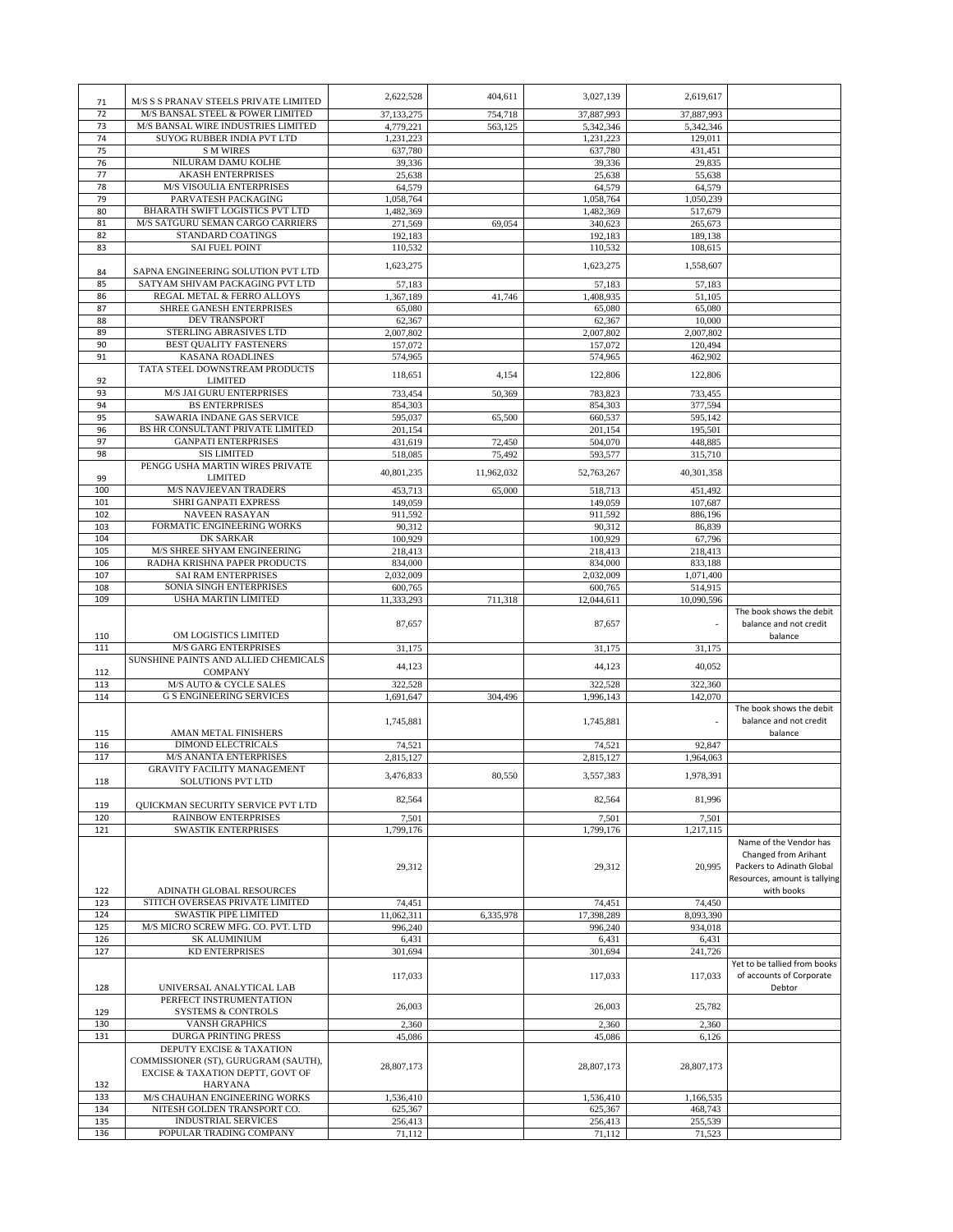| 71         | M/S S S PRANAV STEELS PRIVATE LIMITED                                    | 2,622,528              | 404,611    | 3,027,139              | 2,619,617            |                                                    |
|------------|--------------------------------------------------------------------------|------------------------|------------|------------------------|----------------------|----------------------------------------------------|
| 72         | M/S BANSAL STEEL & POWER LIMITED                                         | 37,133,275             | 754,718    | 37,887,993             | 37,887,993           |                                                    |
| 73         | M/S BANSAL WIRE INDUSTRIES LIMITED                                       | 4,779,221              | 563,125    | 5,342,346              | 5,342,346            |                                                    |
| 74         | SUYOG RUBBER INDIA PVT LTD                                               | 1,231,223              |            | 1,231,223              | 129,011              |                                                    |
| 75         | <b>S M WIRES</b>                                                         | 637,780                |            | 637,780                | 431,451              |                                                    |
| 76         | NILURAM DAMU KOLHE                                                       | 39,336                 |            | 39,336                 | 29,835               |                                                    |
| 77         | <b>AKASH ENTERPRISES</b>                                                 | 25,638                 |            | 25,638                 | 55,638               |                                                    |
| 78<br>79   | M/S VISOULIA ENTERPRISES<br>PARVATESH PACKAGING                          | 64,579                 |            | 64,579                 | 64,579               |                                                    |
| 80         | BHARATH SWIFT LOGISTICS PVT LTD                                          | 1,058,764<br>1,482,369 |            | 1,058,764<br>1,482,369 | 1,050,239<br>517,679 |                                                    |
| 81         | M/S SATGURU SEMAN CARGO CARRIERS                                         | 271,569                | 69,054     | 340,623                | 265,673              |                                                    |
| 82         | STANDARD COATINGS                                                        | 192,183                |            | 192,183                | 189,138              |                                                    |
| 83         | <b>SAI FUEL POINT</b>                                                    | 110,532                |            | 110,532                | 108,615              |                                                    |
|            |                                                                          | 1,623,275              |            | 1,623,275              | 1.558.607            |                                                    |
| 84         | SAPNA ENGINEERING SOLUTION PVT LTD                                       |                        |            |                        |                      |                                                    |
| 85         | SATYAM SHIVAM PACKAGING PVT LTD                                          | 57,183                 |            | 57,183                 | 57,183               |                                                    |
| 86         | REGAL METAL & FERRO ALLOYS                                               | 1,367,189              | 41,746     | 1,408,935              | 51,105               |                                                    |
| 87<br>88   | <b>SHREE GANESH ENTERPRISES</b><br><b>DEV TRANSPORT</b>                  | 65,080<br>62,367       |            | 65,080<br>62,367       | 65,080<br>10,000     |                                                    |
| 89         | STERLING ABRASIVES LTD                                                   | 2,007,802              |            | 2,007,802              | 2,007,802            |                                                    |
| 90         | <b>BEST QUALITY FASTENERS</b>                                            | 157,072                |            | 157,072                | 120,494              |                                                    |
| 91         | <b>KASANA ROADLINES</b>                                                  | 574,965                |            | 574,965                | 462,902              |                                                    |
|            | TATA STEEL DOWNSTREAM PRODUCTS                                           |                        |            |                        |                      |                                                    |
| 92         | <b>LIMITED</b>                                                           | 118,651                | 4,154      | 122,806                | 122,806              |                                                    |
| 93         | <b>M/S JAI GURU ENTERPRISES</b>                                          | 733,454                | 50,369     | 783,823                | 733,455              |                                                    |
| 94         | <b>BS ENTERPRISES</b>                                                    | 854,303                |            | 854,303                | 377,594              |                                                    |
| 95         | SAWARIA INDANE GAS SERVICE                                               | 595,037                | 65,500     | 660,537                | 595,142              |                                                    |
| 96         | BS HR CONSULTANT PRIVATE LIMITED                                         | 201.154                |            | 201.154                | 195,501              |                                                    |
| 97         | <b>GANPATI ENTERPRISES</b>                                               | 431.619                | 72,450     | 504,070                | 448,885              |                                                    |
| 98         | <b>SIS LIMITED</b><br>PENGG USHA MARTIN WIRES PRIVATE                    | 518,085                | 75,492     | 593,577                | 315,710              |                                                    |
| 99         | <b>LIMITED</b>                                                           | 40,801,235             | 11,962,032 | 52,763,267             | 40,301,358           |                                                    |
| 100        | <b>M/S NAVJEEVAN TRADERS</b>                                             | 453,713                | 65,000     | 518,713                | 451,492              |                                                    |
| 101        | SHRI GANPATI EXPRESS                                                     | 149,059                |            | 149,059                | 107,687              |                                                    |
| 102        | <b>NAVEEN RASAYAN</b>                                                    | 911,592                |            | 911,592                | 886,196              |                                                    |
| 103        | FORMATIC ENGINEERING WORKS                                               | 90,312                 |            | 90,312                 | 86,839               |                                                    |
| 104        | DK SARKAR                                                                | 100,929                |            | 100,929                | 67,796               |                                                    |
| 105        | M/S SHREE SHYAM ENGINEERING                                              | 218,413                |            | 218,413                | 218,413              |                                                    |
| 106        | RADHA KRISHNA PAPER PRODUCTS                                             | 834,000                |            | 834,000                | 833,188              |                                                    |
| 107        | <b>SAI RAM ENTERPRISES</b>                                               | 2,032,009              |            | 2,032,009              | 1,071,400            |                                                    |
| 108        | SONIA SINGH ENTERPRISES                                                  | 600,765                |            | 600,765                | 514,915              |                                                    |
| 109        | USHA MARTIN LIMITED                                                      | 11,333,293             | 711,318    | 12,044,611             | 10,090,596           |                                                    |
|            |                                                                          | 87,657                 |            | 87,657                 |                      | The book shows the debit<br>balance and not credit |
|            |                                                                          |                        |            |                        |                      |                                                    |
|            |                                                                          |                        |            |                        |                      |                                                    |
| 110<br>111 | OM LOGISTICS LIMITED                                                     |                        |            |                        |                      | balance                                            |
|            | <b>M/S GARG ENTERPRISES</b><br>SUNSHINE PAINTS AND ALLIED CHEMICALS      | 31,175                 |            | 31,175                 | 31,175               |                                                    |
| 112        | <b>COMPANY</b>                                                           | 44,123                 |            | 44,123                 | 40,052               |                                                    |
| 113        | <b>M/S AUTO &amp; CYCLE SALES</b>                                        | 322,528                |            | 322,528                | 322,360              |                                                    |
| 114        | <b>G S ENGINEERING SERVICES</b>                                          | 1,691,647              | 304,496    | 1,996,143              | 142,070              |                                                    |
|            |                                                                          |                        |            |                        |                      | The book shows the debit                           |
|            |                                                                          | 1,745,881              |            | 1,745,881              |                      | balance and not credit                             |
| 115        | AMAN METAL FINISHERS                                                     |                        |            |                        |                      | balance                                            |
| 116        | <b>DIMOND ELECTRICALS</b>                                                | 74,521                 |            | 74,521                 | 92,847               |                                                    |
| 117        | <b>M/S ANANTA ENTERPRISES</b>                                            | 2,815,127              |            | 2,815,127              | 1,964,063            |                                                    |
| 118        | <b>GRAVITY FACILITY MANAGEMENT</b><br><b>SOLUTIONS PVT LTD</b>           | 3,476,833              | 80,550     | 3,557,383              | 1,978,391            |                                                    |
|            |                                                                          |                        |            |                        |                      |                                                    |
| 119        | QUICKMAN SECURITY SERVICE PVT LTD                                        | 82,564                 |            | 82,564                 | 81,996               |                                                    |
| 120        | <b>RAINBOW ENTERPRISES</b>                                               | 7,501                  |            | 7,501                  | 7,501                |                                                    |
| 121        | <b>SWASTIK ENTERPRISES</b>                                               | 1,799,176              |            | 1,799,176              | 1,217,115            |                                                    |
|            |                                                                          |                        |            |                        |                      | Name of the Vendor has                             |
|            |                                                                          |                        |            |                        |                      | Changed from Arihant                               |
|            |                                                                          | 29,312                 |            | 29,312                 | 20,995               | Packers to Adinath Global                          |
|            |                                                                          |                        |            |                        |                      | Resources, amount is tallying                      |
| 122        | <b>ADINATH GLOBAL RESOURCES</b>                                          |                        |            |                        |                      | with books                                         |
| 123        | STITCH OVERSEAS PRIVATE LIMITED                                          | 74,451                 |            | 74,451                 | 74,450               |                                                    |
| 124<br>125 | <b>SWASTIK PIPE LIMITED</b><br>M/S MICRO SCREW MFG. CO. PVT. LTD         | 11,062,311             | 6,335,978  | 17,398,289             | 8,093,390            |                                                    |
| 126        | <b>SK ALUMINIUM</b>                                                      | 996,240<br>6,431       |            | 996,240<br>6,431       | 934,018<br>6,431     |                                                    |
| 127        | <b>KD ENTERPRISES</b>                                                    | 301,694                |            | 301,694                | 241,726              |                                                    |
|            |                                                                          |                        |            |                        |                      | Yet to be tallied from books                       |
|            |                                                                          | 117,033                |            | 117,033                | 117,033              | of accounts of Corporate                           |
| 128        | UNIVERSAL ANALYTICAL LAB                                                 |                        |            |                        |                      | Debtor                                             |
|            | PERFECT INSTRUMENTATION                                                  | 26,003                 |            | 26,003                 | 25,782               |                                                    |
| 129        | <b>SYSTEMS &amp; CONTROLS</b>                                            |                        |            |                        |                      |                                                    |
| 130        | <b>VANSH GRAPHICS</b>                                                    | 2,360                  |            | 2,360                  | 2,360                |                                                    |
| 131        | <b>DURGA PRINTING PRESS</b>                                              | 45,086                 |            | 45,086                 | 6,126                |                                                    |
|            | DEPUTY EXCISE & TAXATION                                                 |                        |            |                        |                      |                                                    |
|            | COMMISSIONER (ST), GURUGRAM (SAUTH),<br>EXCISE & TAXATION DEPTT, GOVT OF | 28,807,173             |            | 28,807,173             | 28,807,173           |                                                    |
| 132        | <b>HARYANA</b>                                                           |                        |            |                        |                      |                                                    |
| 133        | M/S CHAUHAN ENGINEERING WORKS                                            | 1,536,410              |            | 1,536,410              | 1,166,535            |                                                    |
| 134        | NITESH GOLDEN TRANSPORT CO.                                              | 625,367                |            | 625,367                | 468,743              |                                                    |
| 135<br>136 | <b>INDUSTRIAL SERVICES</b><br>POPULAR TRADING COMPANY                    | 256,413<br>71,112      |            | 256,413<br>71,112      | 255,539<br>71,523    |                                                    |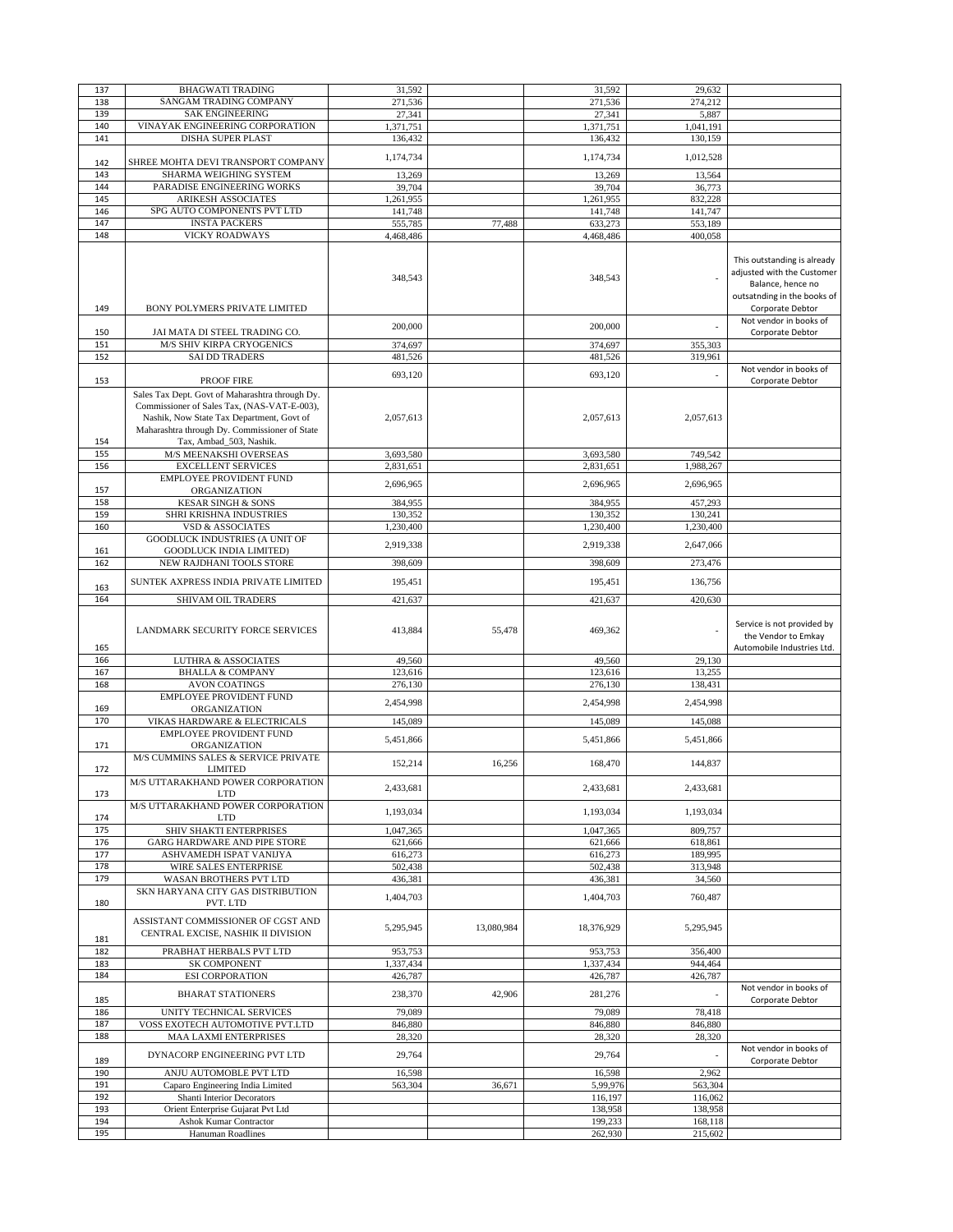| 137        | <b>BHAGWATI TRADING</b>                                                                                                                                                                                                                      | 31,592    |            | 31,592             | 29,632             |                                                                                                                                   |
|------------|----------------------------------------------------------------------------------------------------------------------------------------------------------------------------------------------------------------------------------------------|-----------|------------|--------------------|--------------------|-----------------------------------------------------------------------------------------------------------------------------------|
| 138        | SANGAM TRADING COMPANY                                                                                                                                                                                                                       | 271,536   |            | 271,536            | 274,212            |                                                                                                                                   |
| 139        | <b>SAK ENGINEERING</b>                                                                                                                                                                                                                       | 27,341    |            | 27,341             | 5,887              |                                                                                                                                   |
|            | VINAYAK ENGINEERING CORPORATION                                                                                                                                                                                                              |           |            |                    |                    |                                                                                                                                   |
| 140        |                                                                                                                                                                                                                                              | 1,371,751 |            | 1,371,751          | 1,041,191          |                                                                                                                                   |
| 141        | DISHA SUPER PLAST                                                                                                                                                                                                                            | 136,432   |            | 136,432            | 130,159            |                                                                                                                                   |
|            |                                                                                                                                                                                                                                              | 1,174,734 |            | 1,174,734          | 1,012,528          |                                                                                                                                   |
| 142        | SHREE MOHTA DEVI TRANSPORT COMPANY                                                                                                                                                                                                           |           |            |                    |                    |                                                                                                                                   |
| 143        | SHARMA WEIGHING SYSTEM                                                                                                                                                                                                                       | 13,269    |            | 13,269             | 13,564             |                                                                                                                                   |
| 144        | PARADISE ENGINEERING WORKS                                                                                                                                                                                                                   | 39,704    |            | 39,704             | 36,773             |                                                                                                                                   |
| 145        | <b>ARIKESH ASSOCIATES</b>                                                                                                                                                                                                                    | 1,261,955 |            | 1,261,955          | 832,228            |                                                                                                                                   |
|            | SPG AUTO COMPONENTS PVT LTD                                                                                                                                                                                                                  |           |            |                    |                    |                                                                                                                                   |
| 146        |                                                                                                                                                                                                                                              | 141,748   |            | 141,748            | 141,747            |                                                                                                                                   |
| 147        | <b>INSTA PACKERS</b>                                                                                                                                                                                                                         | 555,785   | 77,488     | 633,273            | 553,189            |                                                                                                                                   |
| 148        | <b>VICKY ROADWAYS</b>                                                                                                                                                                                                                        | 4,468,486 |            | 4,468,486          | 400,058            |                                                                                                                                   |
| 149        | BONY POLYMERS PRIVATE LIMITED                                                                                                                                                                                                                | 348,543   |            | 348,543            |                    | This outstanding is already<br>adjusted with the Customer<br>Balance, hence no<br>outsatnding in the books of<br>Corporate Debtor |
| 150        | JAI MATA DI STEEL TRADING CO.                                                                                                                                                                                                                | 200,000   |            | 200,000            |                    | Not vendor in books of<br>Corporate Debtor                                                                                        |
| 151        | M/S SHIV KIRPA CRYOGENICS                                                                                                                                                                                                                    | 374,697   |            | 374,697            | 355,303            |                                                                                                                                   |
| 152        | <b>SAI DD TRADERS</b>                                                                                                                                                                                                                        | 481,526   |            | 481,526            | 319,961            |                                                                                                                                   |
|            |                                                                                                                                                                                                                                              |           |            |                    |                    |                                                                                                                                   |
|            |                                                                                                                                                                                                                                              | 693,120   |            | 693,120            |                    | Not vendor in books of                                                                                                            |
| 153<br>154 | <b>PROOF FIRE</b><br>Sales Tax Dept. Govt of Maharashtra through Dy.<br>Commissioner of Sales Tax, (NAS-VAT-E-003),<br>Nashik, Now State Tax Department, Govt of<br>Maharashtra through Dy. Commissioner of State<br>Tax, Ambad_503, Nashik. | 2,057,613 |            | 2,057,613          | 2,057,613          | Corporate Debtor                                                                                                                  |
| 155        | M/S MEENAKSHI OVERSEAS                                                                                                                                                                                                                       | 3,693,580 |            | 3,693,580          | 749,542            |                                                                                                                                   |
| 156        | <b>EXCELLENT SERVICES</b>                                                                                                                                                                                                                    | 2,831,651 |            | 2,831,651          | 1,988,267          |                                                                                                                                   |
|            | <b>EMPLOYEE PROVIDENT FUND</b>                                                                                                                                                                                                               |           |            |                    |                    |                                                                                                                                   |
| 157        | ORGANIZATION                                                                                                                                                                                                                                 | 2,696,965 |            | 2,696,965          | 2,696,965          |                                                                                                                                   |
| 158        |                                                                                                                                                                                                                                              | 384,955   |            |                    | 457,293            |                                                                                                                                   |
|            | <b>KESAR SINGH &amp; SONS</b>                                                                                                                                                                                                                |           |            | 384,955            |                    |                                                                                                                                   |
| 159        | SHRI KRISHNA INDUSTRIES                                                                                                                                                                                                                      | 130,352   |            | 130,352            | 130,241            |                                                                                                                                   |
| 160        | <b>VSD &amp; ASSOCIATES</b>                                                                                                                                                                                                                  | 1,230,400 |            | 1,230,400          | 1,230,400          |                                                                                                                                   |
|            | GOODLUCK INDUSTRIES (A UNIT OF                                                                                                                                                                                                               |           |            |                    |                    |                                                                                                                                   |
| 161        | <b>GOODLUCK INDIA LIMITED)</b>                                                                                                                                                                                                               | 2,919,338 |            | 2,919,338          | 2,647,066          |                                                                                                                                   |
| 162        | NEW RAJDHANI TOOLS STORE                                                                                                                                                                                                                     | 398,609   |            | 398,609            | 273,476            |                                                                                                                                   |
|            |                                                                                                                                                                                                                                              |           |            |                    |                    |                                                                                                                                   |
|            | SUNTEK AXPRESS INDIA PRIVATE LIMITED                                                                                                                                                                                                         | 195,451   |            | 195,451            | 136,756            |                                                                                                                                   |
| 163        |                                                                                                                                                                                                                                              |           |            |                    |                    |                                                                                                                                   |
| 164        | SHIVAM OIL TRADERS                                                                                                                                                                                                                           | 421,637   |            | 421,637            | 420,630            |                                                                                                                                   |
|            |                                                                                                                                                                                                                                              |           |            |                    |                    |                                                                                                                                   |
| 165        | LANDMARK SECURITY FORCE SERVICES                                                                                                                                                                                                             | 413,884   | 55,478     | 469,362            |                    | Service is not provided by<br>the Vendor to Emkay<br>Automobile Industries Ltd.                                                   |
| 166        | <b>LUTHRA &amp; ASSOCIATES</b>                                                                                                                                                                                                               | 49,560    |            | 49,560             | 29,130             |                                                                                                                                   |
| 167        | <b>BHALLA &amp; COMPANY</b>                                                                                                                                                                                                                  | 123,616   |            | 123,616            | 13,255             |                                                                                                                                   |
|            |                                                                                                                                                                                                                                              |           |            |                    |                    |                                                                                                                                   |
| 168        | <b>AVON COATINGS</b>                                                                                                                                                                                                                         | 276,130   |            | 276,130            | 138,431            |                                                                                                                                   |
|            | <b>EMPLOYEE PROVIDENT FUND</b>                                                                                                                                                                                                               | 2,454,998 |            | 2,454,998          | 2,454,998          |                                                                                                                                   |
| 169        | ORGANIZATION                                                                                                                                                                                                                                 |           |            |                    |                    |                                                                                                                                   |
| 170        | VIKAS HARDWARE & ELECTRICALS                                                                                                                                                                                                                 | 145,089   |            | 145,089            | 145,088            |                                                                                                                                   |
|            | <b>EMPLOYEE PROVIDENT FUND</b>                                                                                                                                                                                                               | 5,451,866 |            | 5,451,866          | 5,451,866          |                                                                                                                                   |
| 171        | ORGANIZATION<br>M/S CUMMINS SALES & SERVICE PRIVATE                                                                                                                                                                                          |           |            |                    |                    |                                                                                                                                   |
| 172        | <b>LIMITED</b>                                                                                                                                                                                                                               | 152,214   | 16,256     | 168,470            | 144,837            |                                                                                                                                   |
| 173        | M/S UTTARAKHAND POWER CORPORATION<br>LTD                                                                                                                                                                                                     | 2,433,681 |            | 2,433,681          | 2,433,681          |                                                                                                                                   |
|            | M/S UTTARAKHAND POWER CORPORATION                                                                                                                                                                                                            | 1,193,034 |            | 1,193,034          | 1.193.034          |                                                                                                                                   |
| 174        | <b>LTD</b>                                                                                                                                                                                                                                   |           |            |                    |                    |                                                                                                                                   |
| 175        | SHIV SHAKTI ENTERPRISES                                                                                                                                                                                                                      | 1,047,365 |            | 1,047,365          | 809,757            |                                                                                                                                   |
| 176        | <b>GARG HARDWARE AND PIPE STORE</b>                                                                                                                                                                                                          | 621,666   |            | 621.666            | 618,861            |                                                                                                                                   |
| 177        | ASHVAMEDH ISPAT VANIJYA                                                                                                                                                                                                                      | 616,273   |            | 616,273            | 189,995            |                                                                                                                                   |
| 178        | WIRE SALES ENTERPRISE                                                                                                                                                                                                                        | 502,438   |            | 502,438            | 313,948            |                                                                                                                                   |
| 179        | WASAN BROTHERS PVT LTD                                                                                                                                                                                                                       | 436,381   |            | 436,381            | 34,560             |                                                                                                                                   |
|            | SKN HARYANA CITY GAS DISTRIBUTION                                                                                                                                                                                                            | 1.404.703 |            | 1,404,703          | 760,487            |                                                                                                                                   |
| 180<br>181 | PVT. LTD<br>ASSISTANT COMMISSIONER OF CGST AND<br>CENTRAL EXCISE, NASHIK II DIVISION                                                                                                                                                         | 5,295,945 | 13,080,984 | 18,376,929         | 5,295,945          |                                                                                                                                   |
|            |                                                                                                                                                                                                                                              |           |            |                    |                    |                                                                                                                                   |
| 182        | PRABHAT HERBALS PVT LTD                                                                                                                                                                                                                      | 953,753   |            | 953,753            | 356,400            |                                                                                                                                   |
| 183        | <b>SK COMPONENT</b>                                                                                                                                                                                                                          | 1,337,434 |            | 1,337,434          | 944,464            |                                                                                                                                   |
| 184        | <b>ESI CORPORATION</b>                                                                                                                                                                                                                       | 426,787   |            | 426,787            | 426,787            |                                                                                                                                   |
| 185        | <b>BHARAT STATIONERS</b>                                                                                                                                                                                                                     | 238,370   | 42,906     | 281,276            |                    | Not vendor in books of<br>Corporate Debtor                                                                                        |
|            |                                                                                                                                                                                                                                              |           |            |                    |                    |                                                                                                                                   |
| 186        | UNITY TECHNICAL SERVICES                                                                                                                                                                                                                     | 79,089    |            | 79,089             | 78,418             |                                                                                                                                   |
| 187        | VOSS EXOTECH AUTOMOTIVE PVT.LTD                                                                                                                                                                                                              | 846,880   |            | 846,880            | 846,880            |                                                                                                                                   |
| 188        | <b>MAA LAXMI ENTERPRISES</b>                                                                                                                                                                                                                 | 28,320    |            | 28,320             | 28,320             |                                                                                                                                   |
| 189        | DYNACORP ENGINEERING PVT LTD                                                                                                                                                                                                                 | 29,764    |            | 29,764             |                    | Not vendor in books of<br>Corporate Debtor                                                                                        |
| 190        | ANJU AUTOMOBLE PVT LTD                                                                                                                                                                                                                       |           |            |                    | 2,962              |                                                                                                                                   |
|            |                                                                                                                                                                                                                                              | 16,598    |            | 16,598             |                    |                                                                                                                                   |
| 191        | Caparo Engineering India Limited                                                                                                                                                                                                             | 563,304   | 36,671     | 5,99,976           | 563,304            |                                                                                                                                   |
| 192        | Shanti Interior Decorators                                                                                                                                                                                                                   |           |            | 116,197            | 116,062            |                                                                                                                                   |
| 193        | Orient Enterprise Gujarat Pvt Ltd                                                                                                                                                                                                            |           |            | 138,958            | 138,958            |                                                                                                                                   |
| 194<br>195 | Ashok Kumar Contractor<br>Hanuman Roadlines                                                                                                                                                                                                  |           |            | 199,233<br>262,930 | 168,118<br>215,602 |                                                                                                                                   |